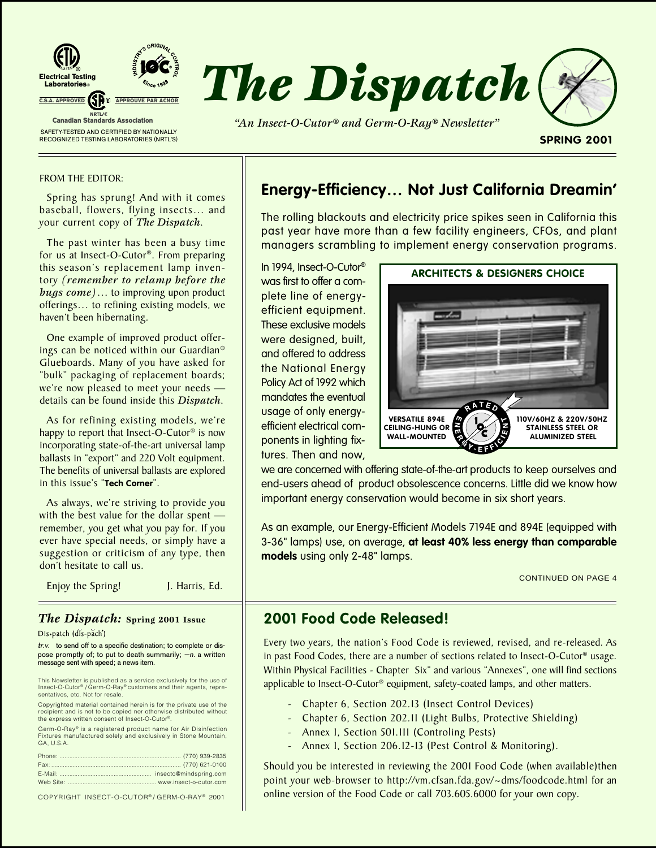

#### FROM THE EDITOR:

Spring has sprung! And with it comes baseball, flowers, flying insects… and your current copy of *The Dispatch*.

The past winter has been a busy time for us at Insect-O-Cutor®. From preparing this season's replacement lamp inventory *(remember to relamp before the bugs come)*… to improving upon product offerings… to refining existing models, we haven't been hibernating.

One example of improved product offerings can be noticed within our Guardian® Glueboards. Many of you have asked for "bulk" packaging of replacement boards; we're now pleased to meet your needs details can be found inside this *Dispatch*.

As for refining existing models, we're happy to report that Insect-O-Cutor<sup>®</sup> is now incorporating state-of-the-art universal lamp ballasts in "export" and 220 Volt equipment. The benefits of universal ballasts are explored in this issue's "**Tech Corner**".

As always, we're striving to provide you with the best value for the dollar spent remember, you get what you pay for. If you ever have special needs, or simply have a suggestion or criticism of any type, then don't hesitate to call us.

Enjoy the Spring! J. Harris, Ed.

## *The Dispatch:* **Spring 2001 Issue**

Dis•patch (dis-pach')

tr.v. to send off to a specific destination; to complete or dispose promptly of; to put to death summarily; —n. a written message sent with speed; a news item.

This Newsletter is published as a service exclusively for the use of Insect-O-Cutor® / Germ-O-Ray® customers and their agents, representatives, etc. Not for resale

Copyrighted material contained herein is for the private use of the recipient and is not to be copied nor otherwise distributed without the express written consent of Insect-O-Cutor®

Germ-O-Ray® is a registered product name for Air Disinfection Fixtures manufactured solely and exclusively in Stone Mountain, GA, U.S.A.

COPYRIGHT INSECT-O-CUTOR ® / GERM-O-RAY® 2001

# **Energy-Efficiency… Not Just California Dreamin'**

The rolling blackouts and electricity price spikes seen in California this past year have more than a few facility engineers, CFOs, and plant managers scrambling to implement energy conservation programs.

In 1994, Insect-O-Cutor® was first to offer a complete line of energyefficient equipment. These exclusive models were designed, built, and offered to address the National Energy Policy Act of 1992 which mandates the eventual usage of only energyefficient electrical components in lighting fixtures. Then and now,



we are concerned with offering state-of-the-art products to keep ourselves and end-users ahead of product obsolescence concerns. Little did we know how important energy conservation would become in six short years.

As an example, our Energy-Efficient Models 7194E and 894E (equipped with 3-36" lamps) use, on average, **at least 40% less energy than comparable models** using only 2-48" lamps.

CONTINUED ON PAGE 4

# **2001 Food Code Released!**

Every two years, the nation's Food Code is reviewed, revised, and re-released. As in past Food Codes, there are a number of sections related to Insect-O-Cutor® usage. Within Physical Facilities - Chapter Six" and various "Annexes", one will find sections applicable to Insect-O-Cutor® equipment, safety-coated lamps, and other matters.

- Chapter 6, Section 202.13 (Insect Control Devices)
- Chapter 6, Section 202.11 (Light Bulbs, Protective Shielding)
- Annex I, Section 501.111 (Controling Pests)
- Annex I, Section 206.12-13 (Pest Control & Monitoring).

Should you be interested in reviewing the 2001 Food Code (when available)then point your web-browser to http://vm.cfsan.fda.gov/~dms/foodcode.html for an online version of the Food Code or call 703.605.6000 for your own copy.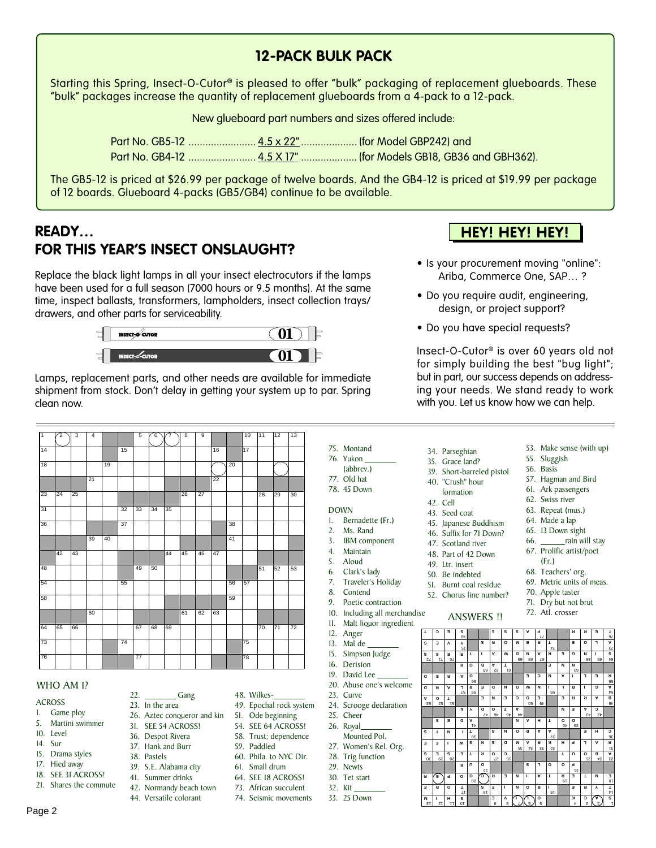## **12-PACK BULK PACK**

Starting this Spring, Insect-O-Cutor® is pleased to offer "bulk" packaging of replacement glueboards. These "bulk" packages increase the quantity of replacement glueboards from a 4-pack to a 12-pack.

New glueboard part numbers and sizes offered include:

The GB5-12 is priced at \$26.99 per package of twelve boards. And the GB4-12 is priced at \$19.99 per package of 12 boards. Glueboard 4-packs (GB5/GB4) continue to be available.

# **READY… FOR THIS YEAR'S INSECT ONSLAUGHT?**

Replace the black light lamps in all your insect electrocutors if the lamps have been used for a full season (7000 hours or 9.5 months). At the same time, inspect ballasts, transformers, lampholders, insect collection trays/ drawers, and other parts for serviceability.



Lamps, replacement parts, and other needs are available for immediate shipment from stock. Don't delay in getting your system up to par. Spring clean now.

| π  | 2  | $\overline{3}$ | $\overline{4}$ |    |    | $\overline{5}$  | 6  |    | $\overline{\mathbf{8}}$ | $\overline{9}$ |                 |    | 10 | 11 | 12 | 13              |
|----|----|----------------|----------------|----|----|-----------------|----|----|-------------------------|----------------|-----------------|----|----|----|----|-----------------|
| 14 |    |                |                |    | 15 |                 |    |    |                         |                | 16              |    | 17 |    |    |                 |
| 18 |    |                |                | 19 |    |                 |    |    |                         |                |                 | 20 |    |    |    |                 |
|    |    |                | 21             |    |    |                 |    |    |                         |                | $\overline{22}$ |    |    |    |    |                 |
| 23 | 24 | 25             |                |    |    |                 |    |    | 26                      | 27             |                 |    |    | 28 | 29 | 30              |
| 31 |    |                |                |    | 32 | 33              | 34 | 35 |                         |                |                 |    |    |    |    |                 |
| 36 |    |                |                |    | 37 |                 |    |    |                         |                |                 | 38 |    |    |    |                 |
|    |    |                | 39             | 40 |    |                 |    |    |                         |                |                 | 41 |    |    |    |                 |
|    | 42 | 43             |                |    |    |                 |    | 44 | 45                      | 46             | 47              |    |    |    |    |                 |
| 48 |    |                |                |    |    | 49              | 50 |    |                         |                |                 |    |    | 51 | 52 | 53              |
| 54 |    |                |                |    | 55 |                 |    |    |                         |                |                 | 56 | 57 |    |    |                 |
| 58 |    |                |                |    |    |                 |    |    |                         |                |                 | 59 |    |    |    |                 |
|    |    |                | 60             |    |    |                 |    |    | 61                      | 62             | 63              |    |    |    |    |                 |
| 64 | 65 | 66             |                |    |    | 67              | 68 | 69 |                         |                |                 |    |    | 70 | 71 | $\overline{72}$ |
| 73 |    |                |                |    | 74 |                 |    |    |                         |                |                 |    | 75 |    |    |                 |
| 76 |    |                |                |    |    | $\overline{77}$ |    |    |                         |                |                 |    | 78 |    |    |                 |

#### WHO AM I?

#### **ACROSS**

- 1. Game ploy
- 5. Martini swimmer 10. Level
- 14. Sur
- 15. Drama styles

Page 2

- 17. Hied away
- 18. SEE 31 ACROSS!
- 21. Shares the commute
	-
- 23. In the area 26. Aztec conqueror and kin

22. Cang

- 31. SEE 54 ACROSS!
- 36. Despot Rivera
- 37. Hank and Burr
- 38. Pastels
	- 39. S.E. Alabama city
	- 41. Summer drinks
	- 42. Normandy beach town
	- 44. Versatile colorant
- 48. Wilkes-
- 49. Epochal rock system
- 51. Ode beginning 54. SEE 64 ACROSS!
- 58. Trust; dependence
- 
- 59. Paddled
- 60. Phila. to NYC Dir.
- 61. Small drum
- 64. SEE 18 ACROSS!
- 73. African succulent
- 74. Seismic movements

75. Montand 76. Yukon (abbrev.) 77. Old hat 78. 45 Down

DOWN

- 1. Bernadette (Fr.)
- 2. Ms. Rand 3. IBM component
- 4. Maintain
- 5. Aloud
- 6. Clark's lady
- 7. Traveler's Holiday
- 8. Contend
- 9. Poetic contraction
- 10. Including all merchandise
- 11. Malt liquor ingredient
- 12. Anger
- 13. Mal de
- 15. Simpson Judge
- 16. Derision 19. David Lee
- 20. Abuse one's welcome
- 23. Curve
- 24. Scrooge declaration
- 25. Cheer
- 26. Royal
- Mounted Pol.
- 27. Women's Rel. Org. 28. Trig function
- 29. Newts
- 30. Tet start
- 32. Kit
- 33. 25 Down

## **HEY! HEY! HEY!**

- Is your procurement moving "online": Ariba, Commerce One, SAP… ?
- Do you require audit, engineering, design, or project support?
- Do you have special requests?

Insect-O-Cutor® is over 60 years old not for simply building the best "bug light"; but in part, our success depends on addressing your needs. We stand ready to work with you. Let us know how we can help.

- 53. Make sense (with up) 55. Sluggish 34. Parseghian 35. Grace land?
	- 56. Basis
- 39. Short-barreled pistol
- 40. "Crush" hour
- formation 42. Cell
- 43. Seed coat
- 45. Japanese Buddhism
- 46. Suffix for 71 Down?
- 47. Scotland river
	-
- 51. Burnt coal residue
- 52. Chorus line number?

1 2 3 4 5 67 8 9 14 15 16 07 N J J J J J J 61 J J J 81 21 22 23 24 25 26 27 31 32 33 34 35 86 | | | | | | | | | | | | | | | 96 39 40 41 42 43 44 45 46 47 48 49 50 54 56 57 57 58 57 58 57 58 57 59 58 60 61 62 63 64 65 66 67 68 69 73 74 77 1 1 1 1 97  $\mathbf{S}$   $\mathbf{A} \mathbf{W}$  is the final of  $\mathbf{A} \mathbf{W}$  is  $\bf{F}$  **T E E EPS II EDS IN EPS IN E N T ER TA IN E RC O PO O L S O U A BO UT C OR T R A L PH K R AM D E N S C H E AA RO N S T DO TH AN A C A EN A Z OD Y B A R RE E OC E NE A G I R L INWO N D E R R E L IA NC E O NN E T AB O S I N GE RA NDW A I T A L O E T R EM O R S T E R R P AS S E** انا انکانع 28 29 30 51 52 53 7.*1* 1*1* 0*1* 81 **S H IM T OR E O PER R E SE S W IFE I NTS D ES E TO A L AN D A RED R R ES S Y VE S S EC T** 72. Atl. crosser ANSWERS !!

- 63. Repeat (mus.) 64. Made a lap 65. 13 Down sight
	- 66. \_\_\_\_\_\_\_ rain will stay

57. Hagman and Bird 61. Ark passengers 62. Swiss river

- 67. Prolific artist/poet (Fr.)
- 68. Teachers' org.
- 69. Metric units of meas.
- 70. Apple taster
- 
- 71. Dry but not brut
- 48. Part of 42 Down 49. Ltr. insert 50. Be indebted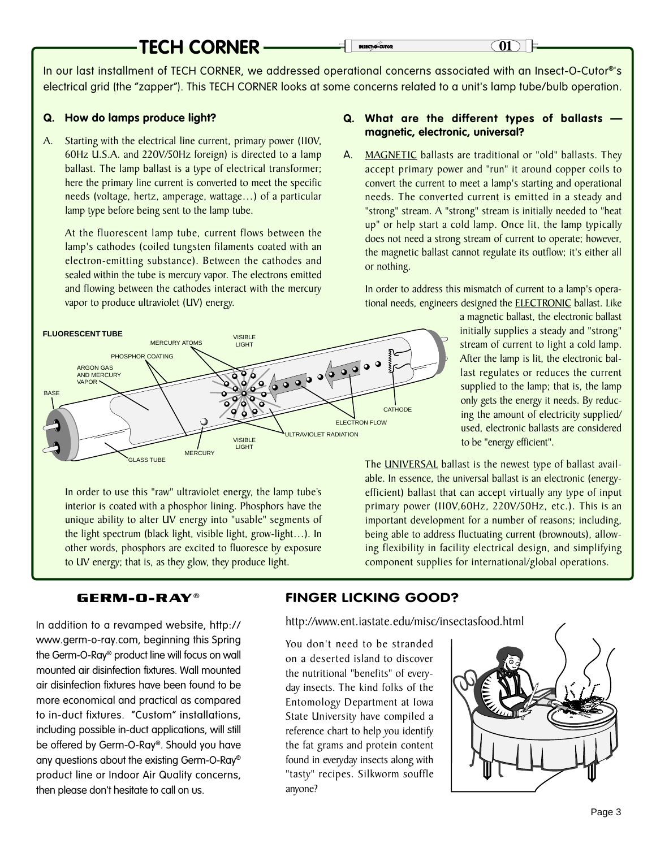# **TECH CORNER**

In our last installment of TECH CORNER, we addressed operational concerns associated with an Insect-O-Cutor®'s electrical grid (the "zapper"). This TECH CORNER looks at some concerns related to a unit's lamp tube/bulb operation.

#### **Q. How do lamps produce light?**

A. Starting with the electrical line current, primary power (110V, 60Hz U.S.A. and 220V/50Hz foreign) is directed to a lamp ballast. The lamp ballast is a type of electrical transformer; here the primary line current is converted to meet the specific needs (voltage, hertz, amperage, wattage…) of a particular lamp type before being sent to the lamp tube.

At the fluorescent lamp tube, current flows between the lamp's cathodes (coiled tungsten filaments coated with an electron-emitting substance). Between the cathodes and sealed within the tube is mercury vapor. The electrons emitted and flowing between the cathodes interact with the mercury vapor to produce ultraviolet (UV) energy.

#### VISIBLE LIGHT VISIBLE **LIGHT CATHODE** ULTRAVIOLET RADIATION **ELECTRON FLOW** GLASS TUBE **MERCURY** MERCURY ATOMS PHOSPHOR COATING ARGON GAS AND MERCURY VAPOR BASE **FLUORESCENT TUBE**

In order to use this "raw" ultraviolet energy, the lamp tube's interior is coated with a phosphor lining. Phosphors have the unique ability to alter UV energy into "usable" segments of the light spectrum (black light, visible light, grow-light…). In other words, phosphors are excited to fluoresce by exposure to UV energy; that is, as they glow, they produce light.

### **Q. What are the different types of ballasts magnetic, electronic, universal?**

A. MAGNETIC ballasts are traditional or "old" ballasts. They accept primary power and "run" it around copper coils to convert the current to meet a lamp's starting and operational needs. The converted current is emitted in a steady and "strong" stream. A "strong" stream is initially needed to "heat up" or help start a cold lamp. Once lit, the lamp typically does not need a strong stream of current to operate; however, the magnetic ballast cannot regulate its outflow; it's either all or nothing.

In order to address this mismatch of current to a lamp's operational needs, engineers designed the ELECTRONIC ballast. Like

> a magnetic ballast, the electronic ballast initially supplies a steady and "strong" stream of current to light a cold lamp. After the lamp is lit, the electronic ballast regulates or reduces the current supplied to the lamp; that is, the lamp only gets the energy it needs. By reducing the amount of electricity supplied/ used, electronic ballasts are considered to be "energy efficient".

The **UNIVERSAL** ballast is the newest type of ballast available. In essence, the universal ballast is an electronic (energyefficient) ballast that can accept virtually any type of input primary power (110V,60Hz, 220V/50Hz, etc.). This is an important development for a number of reasons; including, being able to address fluctuating current (brownouts), allowing flexibility in facility electrical design, and simplifying component supplies for international/global operations.

### **GERM-O-RAY®**

In addition to a revamped website, http:// www.germ-o-ray.com, beginning this Spring the Germ-O-Ray® product line will focus on wall mounted air disinfection fixtures. Wall mounted air disinfection fixtures have been found to be more economical and practical as compared to in-duct fixtures. "Custom" installations, including possible in-duct applications, will still be offered by Germ-O-Ray®. Should you have any questions about the existing Germ-O-Ray® product line or Indoor Air Quality concerns, then please don't hesitate to call on us.

### **FINGER LICKING GOOD?**

http://www.ent.iastate.edu/misc/insectasfood.html

You don't need to be stranded on a deserted island to discover the nutritional "benefits" of everyday insects. The kind folks of the Entomology Department at Iowa State University have compiled a reference chart to help you identify the fat grams and protein content found in everyday insects along with "tasty" recipes. Silkworm souffle anyone?